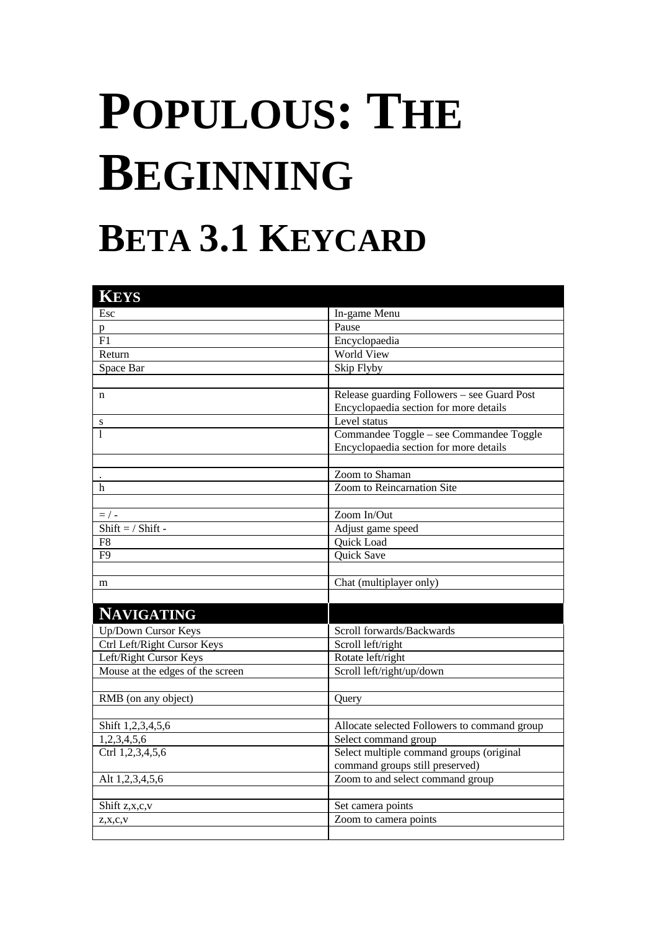## **POPULOUS: THE BEGINNING BETA 3.1 KEYCARD**

| <b>KEYS</b>                      |                                              |
|----------------------------------|----------------------------------------------|
| Esc                              | In-game Menu                                 |
| p                                | Pause                                        |
| F1                               | Encyclopaedia                                |
| Return                           | <b>World View</b>                            |
| Space Bar                        | Skip Flyby                                   |
|                                  |                                              |
| n                                | Release guarding Followers - see Guard Post  |
|                                  | Encyclopaedia section for more details       |
| S                                | Level status                                 |
| 1                                | Commandee Toggle - see Commandee Toggle      |
|                                  | Encyclopaedia section for more details       |
|                                  |                                              |
|                                  | Zoom to Shaman                               |
| h                                | Zoom to Reincarnation Site                   |
|                                  |                                              |
| $=$ / -                          | Zoom In/Out                                  |
| $Shift = / Shift -$              | Adjust game speed                            |
| F <sub>8</sub>                   | Quick Load                                   |
| F9                               | Quick Save                                   |
|                                  |                                              |
| m                                | Chat (multiplayer only)                      |
|                                  |                                              |
| <b>NAVIGATING</b>                |                                              |
| Up/Down Cursor Keys              | Scroll forwards/Backwards                    |
| Ctrl Left/Right Cursor Keys      | Scroll left/right                            |
| Left/Right Cursor Keys           | Rotate left/right                            |
| Mouse at the edges of the screen | Scroll left/right/up/down                    |
|                                  |                                              |
| RMB (on any object)              | Query                                        |
|                                  |                                              |
| Shift 1,2,3,4,5,6                | Allocate selected Followers to command group |
| 1,2,3,4,5,6                      | Select command group                         |
| Ctrl 1,2,3,4,5,6                 | Select multiple command groups (original     |
|                                  | command groups still preserved)              |
| Alt 1,2,3,4,5,6                  | Zoom to and select command group             |
|                                  |                                              |
| Shift z,x,c,v                    | Set camera points                            |
| $Z$ , $X$ , $C$ , $V$            | Zoom to camera points                        |
|                                  |                                              |